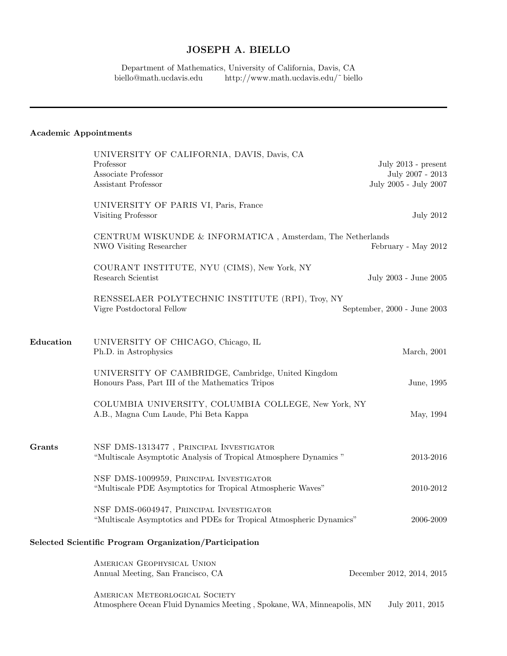## JOSEPH A. BIELLO

Department of Mathematics, University of California, Davis, CA<br>biello@math.ucdavis.edu http://www.math.ucdavis.edu/~biell http://www.math.ucdavis.edu/ $\degree$ biello

## Academic Appointments

|               | UNIVERSITY OF CALIFORNIA, DAVIS, Davis, CA<br>Professor<br>Associate Professor<br>Assistant Professor          | July $2013$ - present<br>July 2007 - 2013<br>July 2005 - July 2007 |
|---------------|----------------------------------------------------------------------------------------------------------------|--------------------------------------------------------------------|
|               | UNIVERSITY OF PARIS VI, Paris, France<br>Visiting Professor                                                    | <b>July 2012</b>                                                   |
|               | CENTRUM WISKUNDE & INFORMATICA, Amsterdam, The Netherlands<br>NWO Visiting Researcher<br>February - May 2012   |                                                                    |
|               | COURANT INSTITUTE, NYU (CIMS), New York, NY<br>Research Scientist                                              | July 2003 - June 2005                                              |
|               | RENSSELAER POLYTECHNIC INSTITUTE (RPI), Troy, NY<br>Vigre Postdoctoral Fellow                                  | September, 2000 - June 2003                                        |
| Education     | UNIVERSITY OF CHICAGO, Chicago, IL<br>Ph.D. in Astrophysics                                                    | March, 2001                                                        |
|               | UNIVERSITY OF CAMBRIDGE, Cambridge, United Kingdom<br>Honours Pass, Part III of the Mathematics Tripos         | June, 1995                                                         |
|               | COLUMBIA UNIVERSITY, COLUMBIA COLLEGE, New York, NY<br>A.B., Magna Cum Laude, Phi Beta Kappa                   | May, 1994                                                          |
| <b>Grants</b> | NSF DMS-1313477, PRINCIPAL INVESTIGATOR<br>"Multiscale Asymptotic Analysis of Tropical Atmosphere Dynamics"    | 2013-2016                                                          |
|               | NSF DMS-1009959, PRINCIPAL INVESTIGATOR<br>"Multiscale PDE Asymptotics for Tropical Atmospheric Waves"         | 2010-2012                                                          |
|               | NSF DMS-0604947, PRINCIPAL INVESTIGATOR<br>"Multiscale Asymptotics and PDEs for Tropical Atmospheric Dynamics" | 2006-2009                                                          |
|               | Selected Scientific Program Organization/Participation                                                         |                                                                    |
|               | AMERICAN GEOPHYSICAL UNION<br>Annual Meeting, San Francisco, CA                                                | December 2012, 2014, 2015                                          |
|               | AMERICAN METEORLOGICAL SOCIETY<br>Atmosphere Ocean Fluid Dynamics Meeting, Spokane, WA, Minneapolis, MN        | July 2011, 2015                                                    |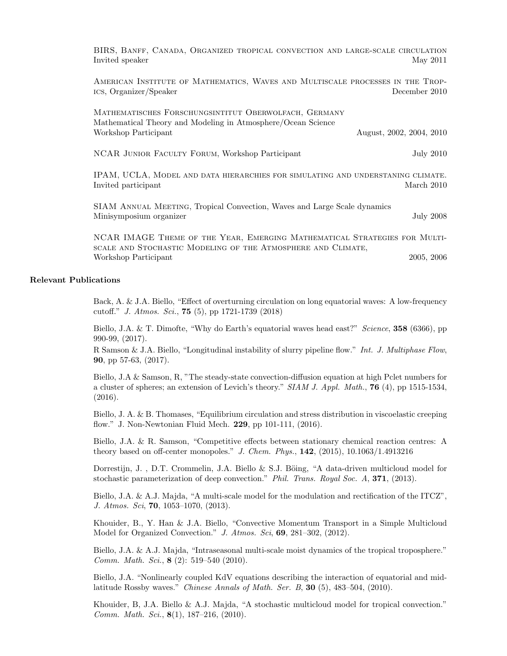BIRS, Banff, Canada, Organized tropical convection and large-scale circulation Invited speaker May 2011

American Institute of Mathematics, Waves and Multiscale processes in the Tropics, Organizer/Speaker December 2010

Mathematisches Forschungsintitut Oberwolfach, Germany Mathematical Theory and Modeling in Atmosphere/Ocean Science Workshop Participant August, 2002, 2004, 2010

NCAR Junior Faculty Forum, Workshop Participant July 2010

IPAM, UCLA, Model and data hierarchies for simulating and understaning climate. Invited participant March 2010

SIAM Annual Meeting, Tropical Convection, Waves and Large Scale dynamics Minisymposium organizer July 2008

NCAR IMAGE Theme of the Year, Emerging Mathematical Strategies for Multiscale and Stochastic Modeling of the Atmosphere and Climate, Workshop Participant 2005, 2006

## Relevant Publications

Back, A. & J.A. Biello, "Effect of overturning circulation on long equatorial waves: A low-frequency cutoff." J. Atmos. Sci., 75 (5), pp 1721-1739 (2018)

Biello, J.A. & T. Dimofte, "Why do Earth's equatorial waves head east?" Science, 358 (6366), pp 990-99, (2017).

R Samson & J.A. Biello, "Longitudinal instability of slurry pipeline flow." Int. J. Multiphase Flow, 90, pp 57-63, (2017).

Biello, J.A & Samson, R, "The steady-state convection-diffusion equation at high Pclet numbers for a cluster of spheres; an extension of Levich's theory." SIAM J. Appl. Math., 76 (4), pp 1515-1534, (2016).

Biello, J. A. & B. Thomases, "Equilibrium circulation and stress distribution in viscoelastic creeping flow." J. Non-Newtonian Fluid Mech. 229, pp 101-111, (2016).

Biello, J.A. & R. Samson, "Competitive effects between stationary chemical reaction centres: A theory based on off-center monopoles." J. Chem. Phys., 142, (2015), 10.1063/1.4913216

Dorrestijn, J., D.T. Crommelin, J.A. Biello & S.J. Böing, "A data-driven multicloud model for stochastic parameterization of deep convection." Phil. Trans. Royal Soc. A, 371, (2013).

Biello, J.A. & A.J. Majda, "A multi-scale model for the modulation and rectification of the ITCZ", J. Atmos. Sci, 70, 1053–1070, (2013).

Khouider, B., Y. Han & J.A. Biello, "Convective Momentum Transport in a Simple Multicloud Model for Organized Convection." J. Atmos. Sci, 69, 281-302, (2012).

Biello, J.A. & A.J. Majda, "Intraseasonal multi-scale moist dynamics of the tropical troposphere." Comm. Math. Sci., 8 (2): 519–540 (2010).

Biello, J.A. "Nonlinearly coupled KdV equations describing the interaction of equatorial and midlatitude Rossby waves." Chinese Annals of Math. Ser. B, 30 (5), 483–504, (2010).

Khouider, B, J.A. Biello & A.J. Majda, "A stochastic multicloud model for tropical convection." Comm. Math. Sci., 8(1), 187–216, (2010).